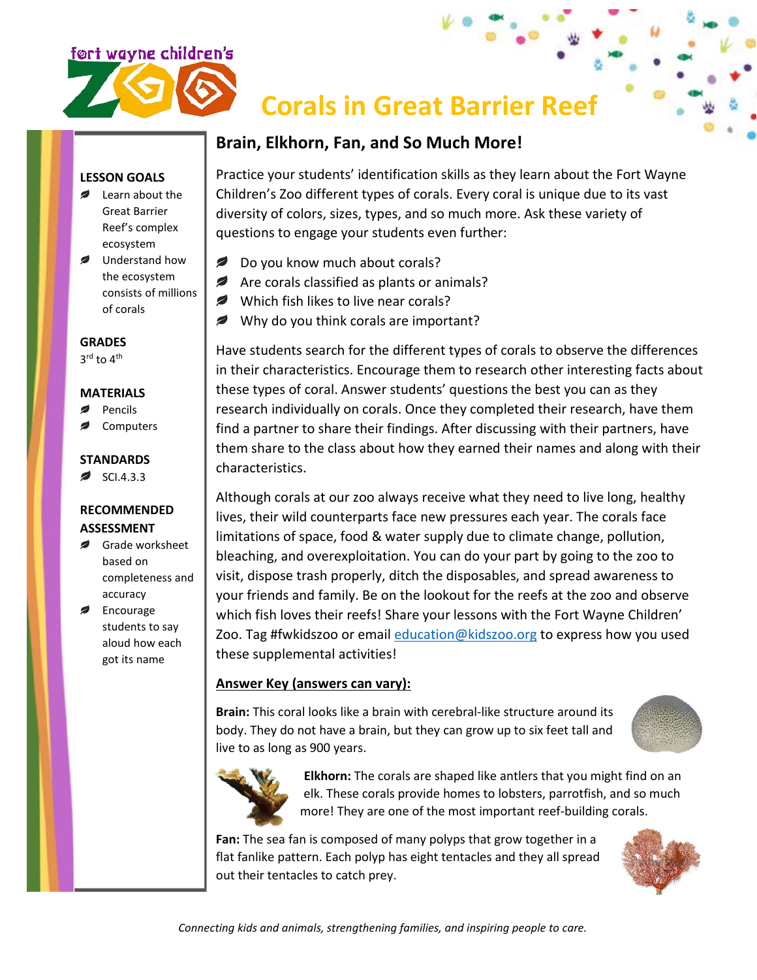

# **Corals in Great Barrier Reef**

# **Brain, Elkhorn, Fan, and So Much More!**

### **LESSON GOALS**

- **■** Learn about the Great Barrier Reef's complex ecosystem
- Understand how the ecosystem consists of millions of corals

**GRADES**

3<sup>rd</sup> to 4<sup>th</sup>

#### **MATERIALS**

- Pencils
- Computers

#### **STANDARDS**

 $\approx$  SCI.4.3.3

#### **RECOMMENDED ASSESSMENT**

- Grade worksheet based on completeness and accuracy
- Encourage students to say aloud how each got its name

Practice your students' identification skills as they learn about the Fort Wayne Children's Zoo different types of corals. Every coral is unique due to its vast diversity of colors, sizes, types, and so much more. Ask these variety of questions to engage your students even further:

- Do you know much about corals?
- Are corals classified as plants or animals?
- Which fish likes to live near corals?
- Why do you think corals are important?

Have students search for the different types of corals to observe the differences in their characteristics. Encourage them to research other interesting facts about these types of coral. Answer students' questions the best you can as they research individually on corals. Once they completed their research, have them find a partner to share their findings. After discussing with their partners, have them share to the class about how they earned their names and along with their characteristics.

Although corals at our zoo always receive what they need to live long, healthy lives, their wild counterparts face new pressures each year. The corals face limitations of space, food & water supply due to climate change, pollution, bleaching, and overexploitation. You can do your part by going to the zoo to visit, dispose trash properly, ditch the disposables, and spread awareness to your friends and family. Be on the lookout for the reefs at the zoo and observe which fish loves their reefs! Share your lessons with the Fort Wayne Children' Zoo. Tag #fwkidszoo or email [education@kidszoo.org](mailto:education@kidszoo.org) to express how you used these supplemental activities!

## **Answer Key (answers can vary):**

**Brain:** This coral looks like a brain with cerebral-like structure around its body. They do not have a brain, but they can grow up to six feet tall and live to as long as 900 years.





**Elkhorn:** The corals are shaped like antlers that you might find on an elk. These corals provide homes to lobsters, parrotfish, and so much more! They are one of the most important reef-building corals.

**Fan:** The sea fan is composed of many polyps that grow together in a flat fanlike pattern. Each polyp has eight tentacles and they all spread out their tentacles to catch prey.